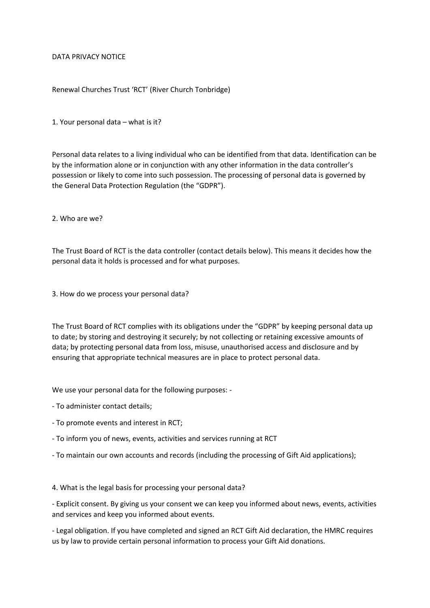## DATA PRIVACY NOTICE

## Renewal Churches Trust 'RCT' (River Church Tonbridge)

1. Your personal data – what is it?

Personal data relates to a living individual who can be identified from that data. Identification can be by the information alone or in conjunction with any other information in the data controller's possession or likely to come into such possession. The processing of personal data is governed by the General Data Protection Regulation (the "GDPR").

2. Who are we?

The Trust Board of RCT is the data controller (contact details below). This means it decides how the personal data it holds is processed and for what purposes.

3. How do we process your personal data?

The Trust Board of RCT complies with its obligations under the "GDPR" by keeping personal data up to date; by storing and destroying it securely; by not collecting or retaining excessive amounts of data; by protecting personal data from loss, misuse, unauthorised access and disclosure and by ensuring that appropriate technical measures are in place to protect personal data.

We use your personal data for the following purposes: -

- To administer contact details;
- To promote events and interest in RCT;
- To inform you of news, events, activities and services running at RCT
- To maintain our own accounts and records (including the processing of Gift Aid applications);

4. What is the legal basis for processing your personal data?

- Explicit consent. By giving us your consent we can keep you informed about news, events, activities and services and keep you informed about events.

- Legal obligation. If you have completed and signed an RCT Gift Aid declaration, the HMRC requires us by law to provide certain personal information to process your Gift Aid donations.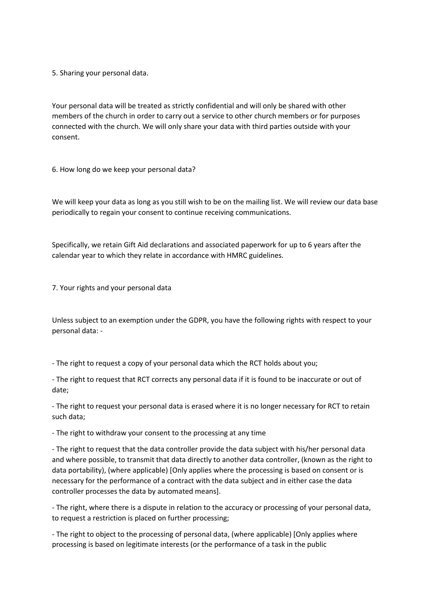5. Sharing your personal data.

Your personal data will be treated as strictly confidential and will only be shared with other members of the church in order to carry out a service to other church members or for purposes connected with the church. We will only share your data with third parties outside with your consent.

6. How long do we keep your personal data?

We will keep your data as long as you still wish to be on the mailing list. We will review our data base periodically to regain your consent to continue receiving communications.

Specifically, we retain Gift Aid declarations and associated paperwork for up to 6 years after the calendar year to which they relate in accordance with HMRC guidelines.

7. Your rights and your personal data

Unless subject to an exemption under the GDPR, you have the following rights with respect to your personal data: -

- The right to request a copy of your personal data which the RCT holds about you;

- The right to request that RCT corrects any personal data if it is found to be inaccurate or out of date;

- The right to request your personal data is erased where it is no longer necessary for RCT to retain such data;

- The right to withdraw your consent to the processing at any time

- The right to request that the data controller provide the data subject with his/her personal data and where possible, to transmit that data directly to another data controller, (known as the right to data portability), (where applicable) [Only applies where the processing is based on consent or is necessary for the performance of a contract with the data subject and in either case the data controller processes the data by automated means].

- The right, where there is a dispute in relation to the accuracy or processing of your personal data, to request a restriction is placed on further processing;

- The right to object to the processing of personal data, (where applicable) [Only applies where processing is based on legitimate interests (or the performance of a task in the public